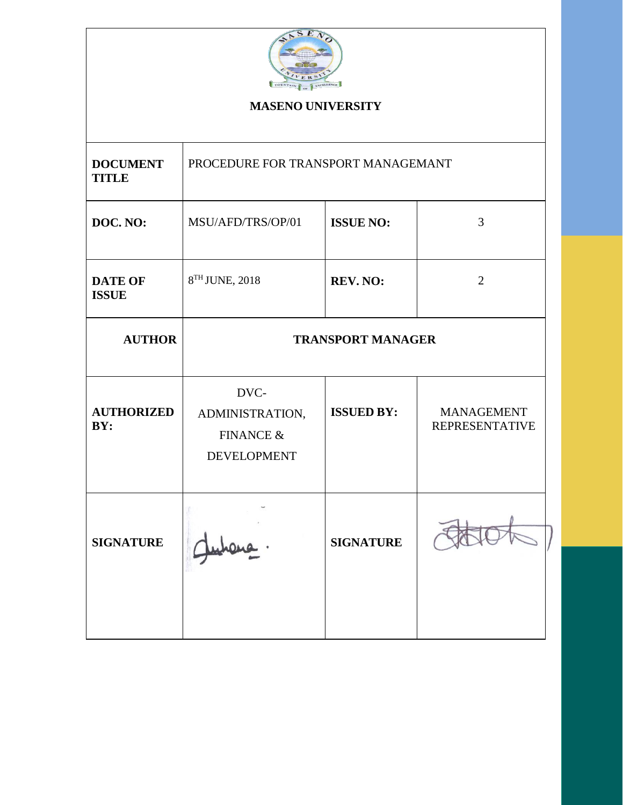

# **MASENO UNIVERSITY**

| <b>DOCUMENT</b><br><b>TITLE</b> | PROCEDURE FOR TRANSPORT MANAGEMANT                                    |                   |                                            |
|---------------------------------|-----------------------------------------------------------------------|-------------------|--------------------------------------------|
| DOC. NO:                        | MSU/AFD/TRS/OP/01                                                     | <b>ISSUE NO:</b>  | 3                                          |
| <b>DATE OF</b><br><b>ISSUE</b>  | 8TH JUNE, 2018                                                        | REV. NO:          | $\overline{2}$                             |
| <b>AUTHOR</b>                   | <b>TRANSPORT MANAGER</b>                                              |                   |                                            |
| <b>AUTHORIZED</b><br>BY:        | DVC-<br>ADMINISTRATION,<br><b>FINANCE &amp;</b><br><b>DEVELOPMENT</b> | <b>ISSUED BY:</b> | <b>MANAGEMENT</b><br><b>REPRESENTATIVE</b> |
| <b>SIGNATURE</b>                |                                                                       | <b>SIGNATURE</b>  |                                            |
|                                 |                                                                       |                   |                                            |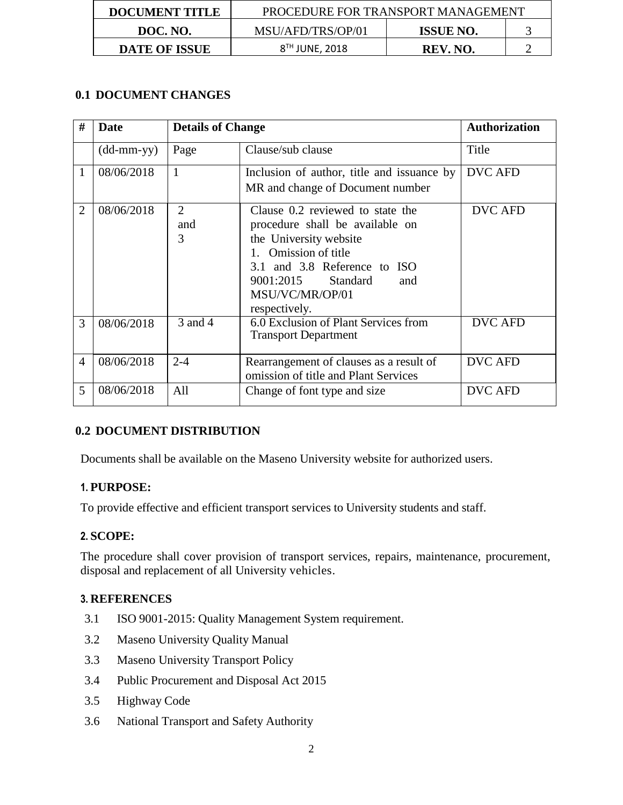| <b>DOCUMENT TITLE</b> | PROCEDURE FOR TRANSPORT MANAGEMENT |                  |  |
|-----------------------|------------------------------------|------------------|--|
| DOC. NO.              | MSU/AFD/TRS/OP/01                  | <b>ISSUE NO.</b> |  |
| <b>DATE OF ISSUE</b>  | 8 <sup>TH</sup> JUNE, 2018         | REV. NO.         |  |

# **0.1 DOCUMENT CHANGES**

| #              | Date                       | <b>Details of Change</b>   |                                                                                                                                                                                                                        | <b>Authorization</b> |
|----------------|----------------------------|----------------------------|------------------------------------------------------------------------------------------------------------------------------------------------------------------------------------------------------------------------|----------------------|
|                | $(dd\text{-}mm\text{-}yy)$ | Page                       | Clause/sub clause                                                                                                                                                                                                      | Title                |
| 1              | 08/06/2018                 | 1                          | Inclusion of author, title and issuance by<br>MR and change of Document number                                                                                                                                         | DVC AFD              |
| $\overline{2}$ | 08/06/2018                 | $\overline{2}$<br>and<br>3 | Clause 0.2 reviewed to state the<br>procedure shall be available on<br>the University website<br>1. Omission of title<br>3.1 and 3.8 Reference to ISO<br>9001:2015 Standard<br>and<br>MSU/VC/MR/OP/01<br>respectively. | <b>DVC AFD</b>       |
| 3              | 08/06/2018                 | 3 and 4                    | 6.0 Exclusion of Plant Services from<br><b>Transport Department</b>                                                                                                                                                    | <b>DVC AFD</b>       |
| 4              | 08/06/2018                 | $2 - 4$                    | Rearrangement of clauses as a result of<br>omission of title and Plant Services                                                                                                                                        | <b>DVC AFD</b>       |
| 5              | 08/06/2018                 | All                        | Change of font type and size                                                                                                                                                                                           | <b>DVC AFD</b>       |

## **0.2 DOCUMENT DISTRIBUTION**

Documents shall be available on the Maseno University website for authorized users.

## **1. PURPOSE:**

To provide effective and efficient transport services to University students and staff.

## **2. SCOPE:**

The procedure shall cover provision of transport services, repairs, maintenance, procurement, disposal and replacement of all University vehicles.

## **3. REFERENCES**

- 3.1 ISO 9001-2015: Quality Management System requirement.
- 3.2 Maseno University Quality Manual
- 3.3 Maseno University Transport Policy
- 3.4 Public Procurement and Disposal Act 2015
- 3.5 Highway Code
- 3.6 National Transport and Safety Authority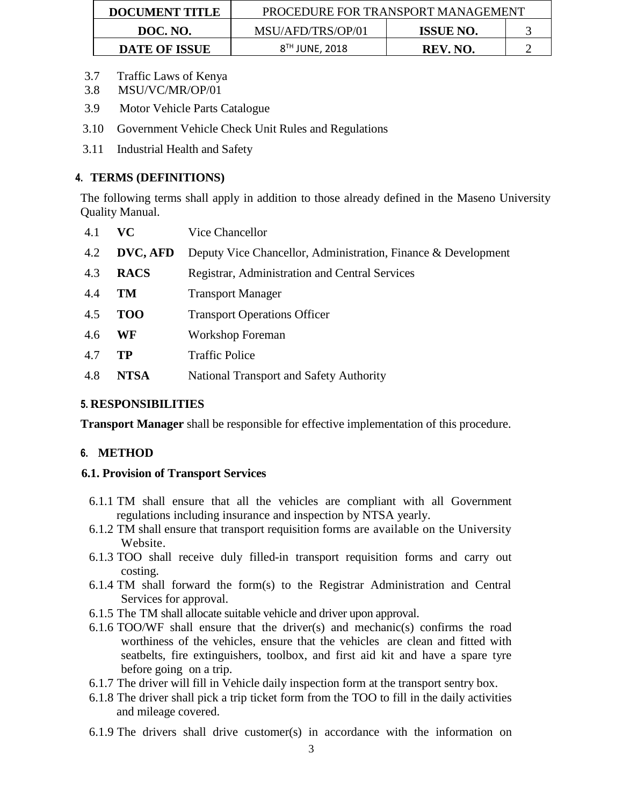| <b>DOCUMENT TITLE</b> | PROCEDURE FOR TRANSPORT MANAGEMENT |                  |  |
|-----------------------|------------------------------------|------------------|--|
| DOC. NO.              | MSU/AFD/TRS/OP/01                  | <b>ISSUE NO.</b> |  |
| <b>DATE OF ISSUE</b>  | 8 <sup>TH</sup> JUNE, 2018         | REV. NO.         |  |

- 3.7 Traffic Laws of Kenya
- 3.8 MSU/VC/MR/OP/01
- 3.9 Motor Vehicle Parts Catalogue
- 3.10 Government Vehicle Check Unit Rules and Regulations
- 3.11 Industrial Health and Safety

### **4. TERMS (DEFINITIONS)**

The following terms shall apply in addition to those already defined in the Maseno University Quality Manual.

| 4.1 | VC-         | Vice Chancellor                                               |
|-----|-------------|---------------------------------------------------------------|
| 4.2 | DVC, AFD    | Deputy Vice Chancellor, Administration, Finance & Development |
| 4.3 | <b>RACS</b> | Registrar, Administration and Central Services                |
| 4.4 | TM          | <b>Transport Manager</b>                                      |
| 4.5 | <b>TOO</b>  | <b>Transport Operations Officer</b>                           |
| 4.6 | WF          | Workshop Foreman                                              |
| 4.7 | TP          | <b>Traffic Police</b>                                         |
| 4.8 | <b>NTSA</b> | National Transport and Safety Authority                       |

### **5. RESPONSIBILITIES**

**Transport Manager** shall be responsible for effective implementation of this procedure.

## **6. METHOD**

#### **6.1. Provision of Transport Services**

- 6.1.1 TM shall ensure that all the vehicles are compliant with all Government regulations including insurance and inspection by NTSA yearly.
- 6.1.2 TM shall ensure that transport requisition forms are available on the University Website.
- 6.1.3 TOO shall receive duly filled-in transport requisition forms and carry out costing.
- 6.1.4 TM shall forward the form(s) to the Registrar Administration and Central Services for approval.
- 6.1.5 The TM shall allocate suitable vehicle and driver upon approval.
- 6.1.6 TOO/WF shall ensure that the driver(s) and mechanic(s) confirms the road worthiness of the vehicles, ensure that the vehicles are clean and fitted with seatbelts, fire extinguishers, toolbox, and first aid kit and have a spare tyre before going on a trip.
- 6.1.7 The driver will fill in Vehicle daily inspection form at the transport sentry box.
- 6.1.8 The driver shall pick a trip ticket form from the TOO to fill in the daily activities and mileage covered.
- 6.1.9 The drivers shall drive customer(s) in accordance with the information on